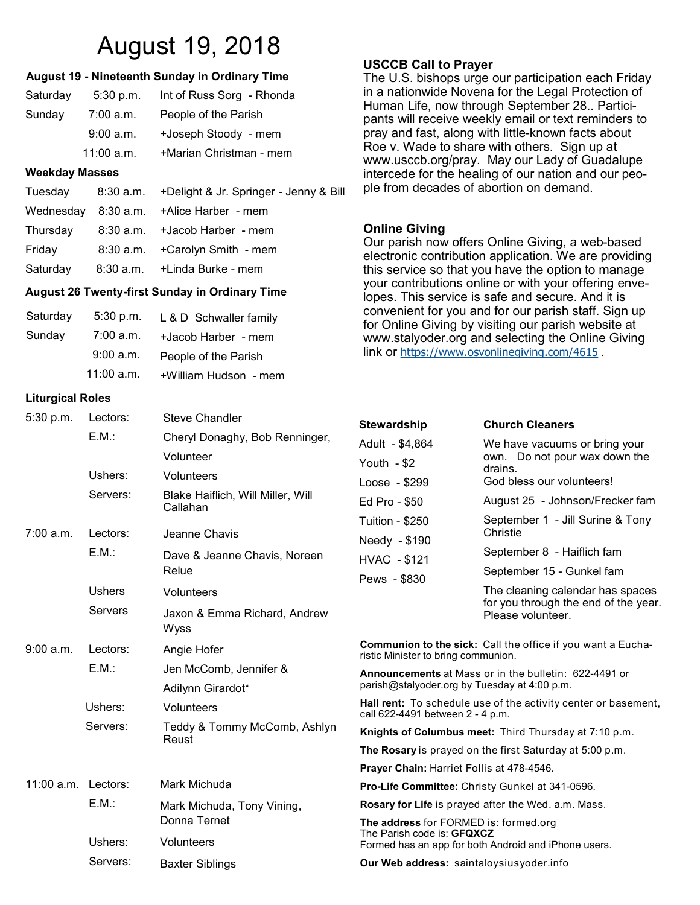# August 19, 2018

#### **August 19 - Nineteenth Sunday in Ordinary Time**

| Saturday | 5:30 p.m.    | Int of Russ Sorg - Rhonda |
|----------|--------------|---------------------------|
| Sunday   | $7:00$ a.m.  | People of the Parish      |
|          | 9:00 a.m.    | +Joseph Stoody - mem      |
|          | $11:00$ a.m. | +Marian Christman - mem   |

#### **Weekday Masses**

| Tuesday  | 8:30 a.m. +Delight & Jr. Springer - Jenny & Bill |
|----------|--------------------------------------------------|
|          | Wednesday 8:30 a.m. + Alice Harber - mem         |
| Thursday | 8:30 a.m. + Jacob Harber - mem                   |
| Friday   | 8:30 a.m. + Carolyn Smith - mem                  |
| Saturday | 8:30 a.m. +Linda Burke - mem                     |
|          |                                                  |

#### **August 26 Twenty-first Sunday in Ordinary Time**

| Saturday | $5:30$ p.m. | L & D Schwaller family |
|----------|-------------|------------------------|
| Sunday   | 7:00 a.m.   | +Jacob Harber - mem    |
|          | 9:00 a.m.   | People of the Parish   |
|          | 11:00 a.m.  | +William Hudson - mem  |

#### **Liturgical Roles**

| 5:30 p.m.           | Lectors:<br>E.M.:<br>Ushers:<br>Servers: | <b>Steve Chandler</b><br>Cheryl Donaghy, Bob Renninger,<br>Volunteer<br>Volunteers<br>Blake Haiflich, Will Miller, Will<br>Callahan | <b>Stewards</b><br>Adult - \$4<br>Youth $-$ \$<br>$Loose - $$<br>Ed Pro - 9                                          |
|---------------------|------------------------------------------|-------------------------------------------------------------------------------------------------------------------------------------|----------------------------------------------------------------------------------------------------------------------|
| 7:00 a.m.           | Lectors:<br>E.M.:                        | Jeanne Chavis<br>Dave & Jeanne Chavis, Noreen<br>Relue                                                                              | Tuition - \$<br>Needy -<br>HVAC - 9<br>Pews - \$                                                                     |
|                     | <b>Ushers</b><br>Servers                 | Volunteers<br>Jaxon & Emma Richard, Andrew<br>Wyss                                                                                  |                                                                                                                      |
| 9:00 a.m.           | Lectors:<br>E.M.:<br>Ushers:<br>Servers: | Angie Hofer<br>Jen McComb, Jennifer &<br>Adilynn Girardot*<br>Volunteers<br>Teddy & Tommy McComb, Ashlyn<br>Reust                   | Communi<br>ristic Minis<br><b>Announce</b><br>parish@st<br>Hall rent:<br>call 622-44<br>Knights o                    |
| 11:00 a.m. Lectors: | E.M.:<br>Ushers:                         | Mark Michuda<br>Mark Michuda, Tony Vining,<br>Donna Ternet<br>Volunteers                                                            | <b>The Rosa</b><br><b>Prayer Ch</b><br>Pro-Life C<br><b>Rosary fo</b><br>The addre<br><b>The Parish</b><br>Formed ha |
|                     | Servers:                                 | <b>Baxter Siblings</b>                                                                                                              | Our Web                                                                                                              |

#### **USCCB Call to Prayer**

The U.S. bishops urge our participation each Friday in a nationwide Novena for the Legal Protection of Human Life, now through September 28.. Participants will receive weekly email or text reminders to pray and fast, along with little-known facts about Roe v. Wade to share with others. Sign up at www.usccb.org/pray. May our Lady of Guadalupe intercede for the healing of our nation and our people from decades of abortion on demand.

## **Online Giving**

Our parish now offers Online Giving, a web-based electronic contribution application. We are providing this service so that you have the option to manage your contributions online or with your offering envelopes. This service is safe and secure. And it is convenient for you and for our parish staff. Sign up for Online Giving by visiting our parish website at www.stalyoder.org and selecting the Online Giving link or <https://www.osvonlinegiving.com/4615>.

| Stewardship                                                                                                  | <b>Church Cleaners</b>                                                                        |  |
|--------------------------------------------------------------------------------------------------------------|-----------------------------------------------------------------------------------------------|--|
| Adult - \$4,864<br>Youth $-$ \$2                                                                             | We have vacuums or bring your                                                                 |  |
|                                                                                                              | own. Do not pour wax down the<br>drains.<br>God bless our volunteers!                         |  |
| Loose - \$299                                                                                                |                                                                                               |  |
| Ed Pro - \$50                                                                                                | August 25 - Johnson/Frecker fam                                                               |  |
| <b>Tuition - \$250</b>                                                                                       | September 1 - Jill Surine & Tony                                                              |  |
| Needy - \$190                                                                                                | Christie                                                                                      |  |
| HVAC - \$121                                                                                                 | September 8 - Haiflich fam                                                                    |  |
| Pews - \$830                                                                                                 | September 15 - Gunkel fam                                                                     |  |
|                                                                                                              | The cleaning calendar has spaces<br>for you through the end of the year.<br>Please volunteer. |  |
| <b>Communion to the sick:</b> Call the office if you want a Eucha-<br>ristic Minister to bring communion.    |                                                                                               |  |
| <b>Announcements</b> at Mass or in the bulletin: 622-4491 or<br>parish@stalyoder.org by Tuesday at 4:00 p.m. |                                                                                               |  |
| <b>Hall rent:</b> To schedule use of the activity center or basement,<br>call 622-4491 between 2 - 4 p.m.    |                                                                                               |  |

**of Columbus meet:** Third Thursday at 7:10 p.m.

**ry** is prayed on the first Saturday at 5:00 p.m.

**Prayer Chain:** Harriet Follis at 478-4546.

**Pro-Life Committee:** Christy Gunkel at 341-0596.

**r Life** is prayed after the Wed. a.m. Mass.

**ess** for FORMED is: formed.org h code is: **GFQXCZ** as an app for both Android and iPhone users.

address: saintaloysiusyoder.info